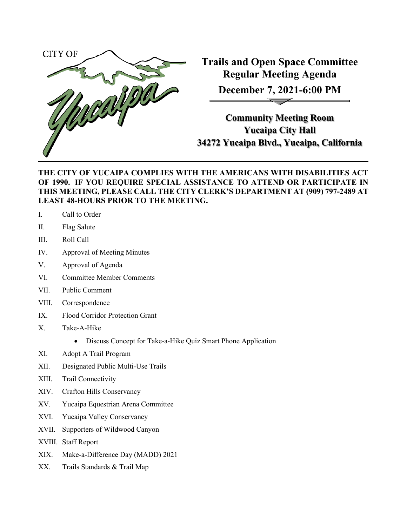

**Trails and Open Space Committee Regular Meeting Agenda December 7, 2021-6:00 PM**

**Community Meeting Room Yucaipa City Hall 34272 Yucaipa Blvd., Yucaipa, California**

## **THE CITY OF YUCAIPA COMPLIES WITH THE AMERICANS WITH DISABILITIES ACT OF 1990. IF YOU REQUIRE SPECIAL ASSISTANCE TO ATTEND OR PARTICIPATE IN THIS MEETING, PLEASE CALL THE CITY CLERK'S DEPARTMENT AT (909) 797-2489 AT LEAST 48-HOURS PRIOR TO THE MEETING.**

- I. Call to Order
- II. Flag Salute
- III. Roll Call
- IV. Approval of Meeting Minutes
- V. Approval of Agenda
- VI. Committee Member Comments
- VII. Public Comment
- VIII. Correspondence
- IX. Flood Corridor Protection Grant
- X. Take-A-Hike
	- Discuss Concept for Take-a-Hike Quiz Smart Phone Application
- XI. Adopt A Trail Program
- XII. Designated Public Multi-Use Trails
- XIII. Trail Connectivity
- XIV. Crafton Hills Conservancy
- XV. Yucaipa Equestrian Arena Committee
- XVI. Yucaipa Valley Conservancy
- XVII. Supporters of Wildwood Canyon
- XVIII. Staff Report
- XIX. Make-a-Difference Day (MADD) 2021
- XX. Trails Standards & Trail Map